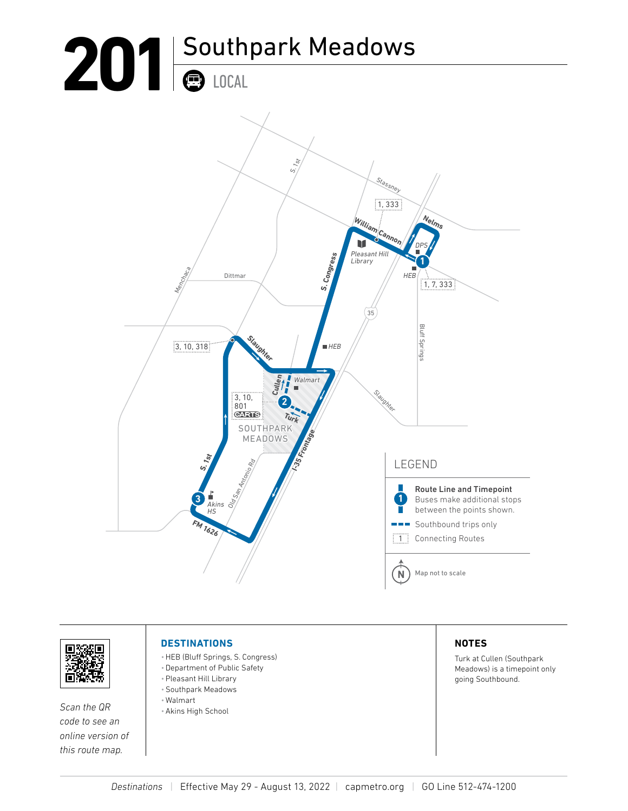# 201<sup> Southpark Meadows</sup> LOCAL





*Scan the QR code to see an online version of this route map.*

#### **DESTINATIONS**

- •HEB (Bluff Springs, S. Congress)
- •Department of Public Safety
- •Pleasant Hill Library
- •Southpark Meadows
- Walmart
- •Akins High School

#### **NOTES**

Turk at Cullen (Southpark Meadows) is a timepoint only going Southbound.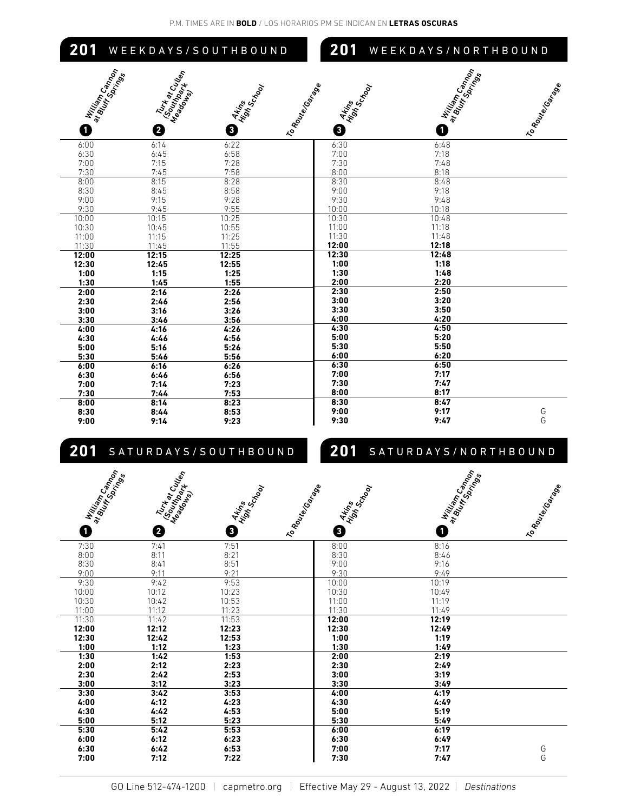| 201          | WEEKDAYS/SOUTHBOUND                                                                                                          |                                 | 201                                                         | WEEKDAYS/NORTHBOUND |                   |
|--------------|------------------------------------------------------------------------------------------------------------------------------|---------------------------------|-------------------------------------------------------------|---------------------|-------------------|
| O            | William Campon<br>at Bluem Soam<br>Turk at Cu <sub>tton</sub><br>Masupar Cu <sub>tton</sub><br>Masupark <sup>uton</sup><br>2 | Artins<br>High's<br>School<br>0 | I To Route Costal<br>Arings<br>High Sc <sub>hool</sub><br>€ | William Campon<br>O | I to Route Goinge |
| 6:00         | 6:14                                                                                                                         | 6:22                            | 6:30                                                        | 6:48                |                   |
| 6:30         | 6:45                                                                                                                         | 6:58                            | 7:00                                                        | 7:18                |                   |
| 7:00         | 7:15                                                                                                                         | 7:28                            | 7:30                                                        | 7:48                |                   |
| 7:30<br>8:00 | 7:45<br>8:15                                                                                                                 | 7:58<br>8:28                    | 8:00<br>8:30                                                | 8:18<br>8:48        |                   |
| 8:30         | 8:45                                                                                                                         | 8:58                            | 9:00                                                        | 9:18                |                   |
| 9:00         | 9:15                                                                                                                         | 9:28                            | 9:30                                                        | 9:48                |                   |
| 9:30         | 9:45                                                                                                                         | 9:55                            | 10:00                                                       | 10:18               |                   |
| 10:00        | 10:15                                                                                                                        | 10:25                           | 10:30                                                       | 10:48               |                   |
| 10:30        | 10:45                                                                                                                        | 10:55                           | 11:00                                                       | 11:18               |                   |
| 11:00        | 11:15                                                                                                                        | 11:25                           | 11:30                                                       | 11:48               |                   |
| 11:30        | 11:45                                                                                                                        | 11:55                           | 12:00                                                       | 12:18               |                   |
| 12:00        | 12:15                                                                                                                        | 12:25                           | 12:30                                                       | 12:48               |                   |
| 12:30        | 12:45                                                                                                                        | 12:55                           | 1:00                                                        | 1:18                |                   |
| 1:00         | 1:15                                                                                                                         | 1:25                            | 1:30                                                        | 1:48                |                   |
| 1:30         | 1:45                                                                                                                         | 1:55                            | 2:00                                                        | 2:20                |                   |
| 2:00         | 2:16                                                                                                                         | 2:26                            | 2:30                                                        | 2:50                |                   |
| 2:30         | 2:46                                                                                                                         | 2:56                            | 3:00                                                        | 3:20                |                   |
| 3:00         | 3:16                                                                                                                         | 3:26                            | 3:30                                                        | 3:50                |                   |
| 3:30         | 3:46                                                                                                                         | 3:56                            | 4:00                                                        | 4:20                |                   |
| 4:00         | 4:16                                                                                                                         | 4:26                            | 4:30                                                        | 4:50                |                   |
| 4:30         | 4:46                                                                                                                         | 4:56                            | 5:00                                                        | 5:20                |                   |
| 5:00         | 5:16                                                                                                                         | 5:26                            | 5:30<br>6:00                                                | 5:50<br>6:20        |                   |
| 5:30<br>6:00 | 5:46<br>6:16                                                                                                                 | 5:56<br>6:26                    | 6:30                                                        | 6:50                |                   |
| 6:30         | 6:46                                                                                                                         | 6:56                            | 7:00                                                        | 7:17                |                   |
| 7:00         | 7:14                                                                                                                         | 7:23                            | 7:30                                                        | 7:47                |                   |
| 7:30         | 7:44                                                                                                                         | 7:53                            | 8:00                                                        | 8:17                |                   |
| 8:00         | 8:14                                                                                                                         | 8:23                            | 8:30                                                        | 8:47                |                   |
| 8:30         | 8:44                                                                                                                         | 8:53                            | 9:00                                                        | 9:17                | G                 |
| 9:00         | 9:14                                                                                                                         | 9:23                            | 9:30                                                        | 9:47                | G                 |

## **201** SATURDAYS/SOUTHBOUND

### **201** SATURDAYS/NORTHBOUND

| I William Campo<br>at Burin Campon<br>0 | <b>Ruthardon</b><br>Masuppartulen<br>❷ | Artrins<br>High Sc <sub>hool</sub><br>❸ | I to Route Gotton<br>Artins<br>Highis<br>Schoop<br>❸ | I William Campo<br>at Burin Campon<br>O | I to Route Control |
|-----------------------------------------|----------------------------------------|-----------------------------------------|------------------------------------------------------|-----------------------------------------|--------------------|
| 7:30                                    | 7:41                                   | 7:51                                    | 8:00                                                 | 8:16                                    |                    |
| 8:00                                    | 8:11                                   | 8:21                                    | 8:30                                                 | 8:46                                    |                    |
| 8:30                                    | 8:41                                   | 8:51                                    | 9:00                                                 | 9:16                                    |                    |
| 9:00                                    | 9:11                                   | 9:21                                    | 9:30                                                 | 9:49                                    |                    |
| 9:30                                    | 9:42                                   | 9:53                                    | 10:00                                                | 10:19                                   |                    |
| 10:00                                   | 10:12                                  | 10:23                                   | 10:30                                                | 10:49                                   |                    |
| 10:30                                   | 10:42                                  | 10:53                                   | 11:00                                                | 11:19                                   |                    |
| 11:00                                   | 11:12                                  | 11:23                                   | 11:30                                                | 11:49                                   |                    |
| 11:30                                   | 11:42                                  | 11:53                                   | 12:00                                                | 12:19                                   |                    |
| 12:00                                   | 12:12                                  | 12:23                                   | 12:30                                                | 12:49                                   |                    |
| 12:30                                   | 12:42                                  | 12:53                                   | 1:00                                                 | 1:19                                    |                    |
| 1:00                                    | 1:12                                   | 1:23                                    | 1:30                                                 | 1:49                                    |                    |
| 1:30                                    | 1:42                                   | 1:53                                    | 2:00                                                 | 2:19                                    |                    |
| 2:00                                    | 2:12                                   | 2:23                                    | 2:30                                                 | 2:49                                    |                    |
| 2:30                                    | 2:42                                   | 2:53                                    | 3:00                                                 | 3:19                                    |                    |
| 3:00                                    | 3:12                                   | 3:23                                    | 3:30                                                 | 3:49                                    |                    |
| 3:30                                    | 3:42                                   | 3:53                                    | 4:00                                                 | 4:19                                    |                    |
| 4:00                                    | 4:12                                   | 4:23                                    | 4:30                                                 | 4:49                                    |                    |
| 4:30                                    | 4:42                                   | 4:53                                    | 5:00                                                 | 5:19                                    |                    |
| 5:00                                    | 5:12                                   | 5:23                                    | 5:30                                                 | 5:49                                    |                    |
| 5:30                                    | 5:42                                   | 5:53                                    | 6:00                                                 | 6:19                                    |                    |
| 6:00                                    | 6:12                                   | 6:23                                    | 6:30                                                 | 6:49                                    |                    |
| 6:30                                    | 6:42                                   | 6:53                                    | 7:00                                                 | 7:17                                    | G                  |
| 7:00                                    | 7:12                                   | 7:22                                    | 7:30                                                 | 7:47                                    | G                  |